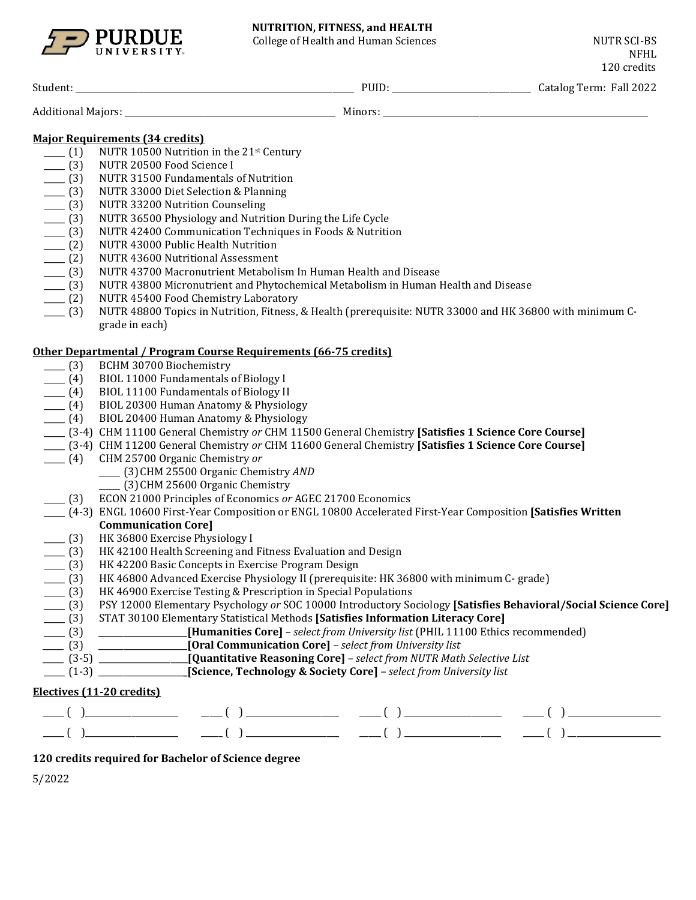

College of Health and Human Sciences **NUTR SCI-BS** 

Student: \_\_\_\_\_\_\_\_\_\_\_\_\_\_\_\_\_\_\_\_\_\_\_\_\_\_\_\_\_\_\_\_\_\_\_\_\_\_\_\_\_\_\_\_\_\_\_\_\_\_\_\_\_\_\_\_\_\_\_\_\_\_\_\_\_\_ PUID: \_\_\_\_\_\_\_\_\_\_\_\_\_\_\_\_\_\_\_\_\_\_\_\_\_\_\_\_\_\_\_\_\_ Catalog Term: Fall 2022 Additional Majors: \_\_\_\_\_\_\_\_\_\_\_\_\_\_\_\_\_\_\_\_\_\_\_\_\_\_\_\_\_\_\_\_\_\_\_\_\_\_\_\_\_\_\_\_\_\_\_\_\_\_ Minors: \_\_\_\_\_\_\_\_\_\_\_\_\_\_\_\_\_\_\_\_\_\_\_\_\_\_\_\_\_\_\_\_\_\_\_\_\_\_\_\_\_\_\_\_\_\_\_\_\_\_\_\_\_\_\_\_\_\_\_\_\_\_\_

# **Major Requirements (34 credits)**

- $\frac{1}{\sqrt{1-\frac{1}{\sqrt{1-\frac{1}{\sqrt{1-\frac{1}{\sqrt{1-\frac{1}{\sqrt{1-\frac{1}{\sqrt{1-\frac{1}{\sqrt{1-\frac{1}{\sqrt{1-\frac{1}{\sqrt{1-\frac{1}{\sqrt{1-\frac{1}{\sqrt{1-\frac{1}{\sqrt{1-\frac{1}{\sqrt{1-\frac{1}{\sqrt{1-\frac{1}{\sqrt{1-\frac{1}{\sqrt{1-\frac{1}{\sqrt{1-\frac{1}{\sqrt{1-\frac{1}{\sqrt{1-\frac{1}{\sqrt{1-\frac{1}{\sqrt{1-\frac{1}{\sqrt{1-\frac{1}{\sqrt{1-\frac{1}{\sqrt{1-\frac{1$
- \_\_\_\_ (3) NUTR 20500 Food Science I<br>\_\_\_\_ (3) NUTR 31500 Fundamentals
- \_\_\_\_ (3) NUTR 31500 Fundamentals of Nutrition<br>\_\_\_ (3) NUTR 33000 Diet Selection & Planning
- \_\_\_\_ (3) NUTR 33000 Diet Selection & Planning<br>\_\_\_\_ (3) NUTR 33200 Nutrition Counseling
- \_\_\_\_ (3) NUTR 33200 Nutrition Counseling<br>\_\_\_\_ (3) NUTR 36500 Physiology and Nutrit
- \_\_\_\_ (3) NUTR 36500 Physiology and Nutrition During the Life Cycle<br>\_\_\_\_ (3) NUTR 42400 Communication Techniques in Foods & Nutrition
- \_\_\_\_ (3) NUTR 42400 Communication Techniques in Foods & Nutrition<br>\_\_\_\_ (2) NUTR 43000 Public Health Nutrition
- \_\_\_\_ (2) NUTR 43000 Public Health Nutrition<br>\_\_\_\_ (2) NUTR 43600 Nutritional Assessment
- \_\_\_\_ (2) NUTR 43600 Nutritional Assessment<br>\_\_\_\_ (3) NUTR 43700 Macronutrient Metaboli
- \_\_\_\_ (3) NUTR 43700 Macronutrient Metabolism In Human Health and Disease<br>\_\_\_\_ (3) NUTR 43800 Micronutrient and Phytochemical Metabolism in Human I
- \_\_\_\_\_ (3) NUTR 43800 Micronutrient and Phytochemical Metabolism in Human Health and Disease
- \_\_\_\_\_ (2) NUTR 45400 Food Chemistry Laboratory<br>\_\_\_\_ (3) NUTR 48800 Topics in Nutrition, Fitness,
- NUTR 48800 Topics in Nutrition, Fitness, & Health (prerequisite: NUTR 33000 and HK 36800 with minimum Cgrade in each)

### **Other Departmental / Program Course Requirements (66-75 credits)**

- \_\_\_\_\_ (3) BCHM 30700 Biochemistry<br>
\_\_\_\_ (4) BIOL 11000 Fundamentals of
- \_\_\_\_ (4) BIOL 11000 Fundamentals of Biology I<br>\_\_\_\_ (4) BIOL 11100 Fundamentals of Biology II
- \_\_\_\_\_ (4) BIOL 11100 Fundamentals of Biology II<br>\_\_\_\_ (4) BIOL 20300 Human Anatomy & Physiol
- \_\_\_\_ (4) BIOL 20300 Human Anatomy & Physiology<br>\_\_\_\_ (4) BIOL 20400 Human Anatomy & Physiology
- BIOL 20400 Human Anatomy & Physiology
- \_\_\_\_\_ (3-4) CHM 11100 General Chemistry *or* CHM 11500 General Chemistry **[Satisfies 1 Science Core Course]**
- \_\_\_\_\_ (3-4) CHM 11200 General Chemistry *or* CHM 11600 General Chemistry **[Satisfies 1 Science Core Course]**
- \_\_\_\_\_ (4) CHM 25700 Organic Chemistry *or*
	- \_\_\_\_\_ (3)CHM 25500 Organic Chemistry *AND*
		- \_\_\_\_\_ (3)CHM 25600 Organic Chemistry
- \_\_\_\_\_ (3) ECON 21000 Principles of Economics *or* AGEC 21700 Economics
- \_\_\_\_\_ (4-3) ENGL 10600 First-Year Composition or ENGL 10800 Accelerated First-Year Composition **[Satisfies Written Communication Core]**
- 
- \_\_\_\_ (3) HK 36800 Exercise Physiology I<br>\_\_\_\_ (3) HK 42100 Health Screening and \_\_\_\_ (3) HK 42100 Health Screening and Fitness Evaluation and Design<br>\_\_\_\_ (3) HK 42200 Basic Concepts in Exercise Program Design
- 
- \_\_\_\_ (3) HK 42200 Basic Concepts in Exercise Program Design<br>\_\_\_\_ (3) HK 46800 Advanced Exercise Physiology II (prerequis \_\_\_\_\_ (3) HK 46800 Advanced Exercise Physiology II (prerequisite: HK 36800 with minimum C- grade)
- 
- \_\_\_\_ (3) HK 46900 Exercise Testing & Prescription in Special Populations<br>\_\_\_\_ (3) PSY 12000 Elementary Psychology or SOC 10000 Introductory So \_\_\_\_\_ (3) PSY 12000 Elementary Psychology *or* SOC 10000 Introductory Sociology **[Satisfies Behavioral/Social Science Core]**
- 
- \_\_\_\_\_ (3) STAT 30100 Elementary Statistical Methods **[Satisfies Information Literacy Core]** \_\_\_\_\_ (3) \_\_\_\_\_\_\_\_\_\_\_\_\_\_\_\_\_\_\_\_\_**[Humanities Core]** *– select from University list* (PHIL 11100 Ethics recommended)
- \_\_\_\_\_ (3) \_\_\_\_\_\_\_\_\_\_\_\_\_\_\_\_\_\_\_\_\_**[Oral Communication Core]** *– select from University list*
- \_\_\_\_\_ (3-5) \_\_\_\_\_\_\_\_\_\_\_\_\_\_\_\_\_\_\_\_\_**[Quantitative Reasoning Core]** *– select from NUTR Math Selective List*
- \_\_\_\_\_ (1-3) \_\_\_\_\_\_\_\_\_\_\_\_\_\_\_\_\_\_\_\_**\_[Science, Technology & Society Core]** *– select from University list*

## **Electives (11-20 credits)**

\_\_\_\_\_ ( )\_\_\_\_\_\_\_\_\_\_\_\_\_\_\_\_\_\_\_\_\_\_ \_\_\_\_\_ ( ) \_\_\_\_\_\_\_\_\_\_\_\_\_\_\_\_\_\_\_\_\_\_ \_\_\_\_\_ ( ) \_\_\_\_\_\_\_\_\_\_\_\_\_\_\_\_\_\_\_\_\_\_\_ \_\_\_\_\_ ( ) \_\_\_\_\_\_\_\_\_\_\_\_\_\_\_\_\_\_\_\_\_\_ \_\_\_\_\_ ( )\_\_\_\_\_\_\_\_\_\_\_\_\_\_\_\_\_\_\_\_\_\_ \_\_\_\_\_ ( ) \_\_\_\_\_\_\_\_\_\_\_\_\_\_\_\_\_\_\_\_\_\_ \_\_\_\_\_ ( ) \_\_\_\_\_\_\_\_\_\_\_\_\_\_\_\_\_\_\_\_\_\_\_ \_\_\_\_\_ ( ) \_\_\_\_\_\_\_\_\_\_\_\_\_\_\_\_\_\_\_\_\_\_

## **120 credits required for Bachelor of Science degree**

5/2022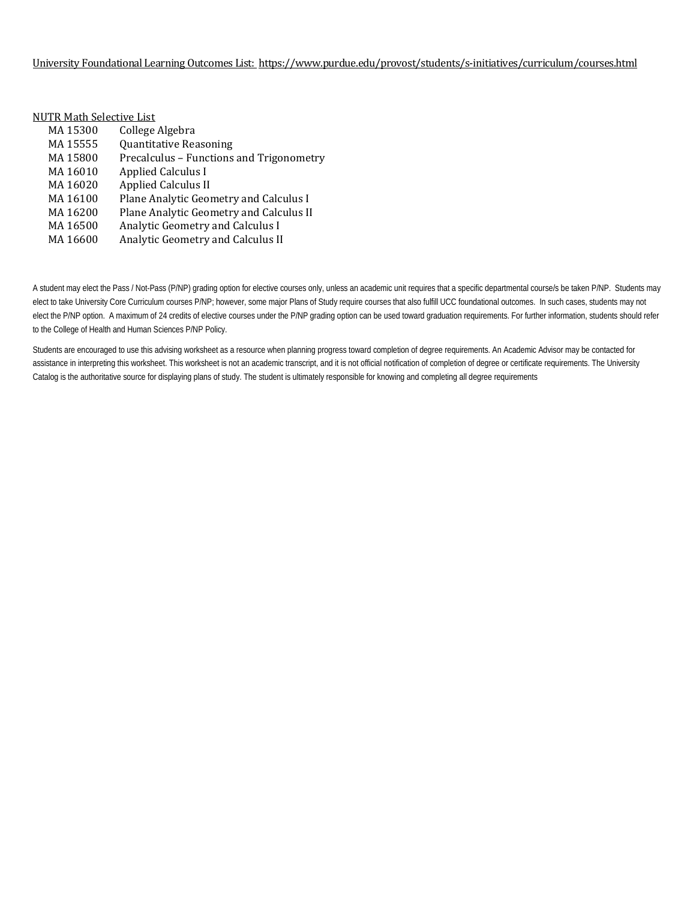### University Foundational Learning Outcomes List:<https://www.purdue.edu/provost/students/s-initiatives/curriculum/courses.html>

| NUTR Math Selective List |                                          |
|--------------------------|------------------------------------------|
| MA 15300                 | College Algebra                          |
| MA 15555                 | <b>Quantitative Reasoning</b>            |
| MA 15800                 | Precalculus - Functions and Trigonometry |
| MA 16010                 | <b>Applied Calculus I</b>                |
| MA 16020                 | <b>Applied Calculus II</b>               |
| MA 16100                 | Plane Analytic Geometry and Calculus I   |
| MA 16200                 | Plane Analytic Geometry and Calculus II  |
| MA 16500                 | Analytic Geometry and Calculus I         |
| MA 16600                 | Analytic Geometry and Calculus II        |
|                          |                                          |

A student may elect the Pass / Not-Pass (P/NP) grading option for elective courses only, unless an academic unit requires that a specific departmental course/s be taken P/NP. Students may elect to take University Core Curriculum courses P/NP; however, some major Plans of Study require courses that also fulfill UCC foundational outcomes. In such cases, students may not elect the P/NP option. A maximum of 24 credits of elective courses under the P/NP grading option can be used toward graduation requirements. For further information, students should refer to the College of Health and Human Sciences P/NP Policy.

Students are encouraged to use this advising worksheet as a resource when planning progress toward completion of degree requirements. An Academic Advisor may be contacted for assistance in interpreting this worksheet. This worksheet is not an academic transcript, and it is not official notification of completion of degree or certificate requirements. The University Catalog is the authoritative source for displaying plans of study. The student is ultimately responsible for knowing and completing all degree requirements